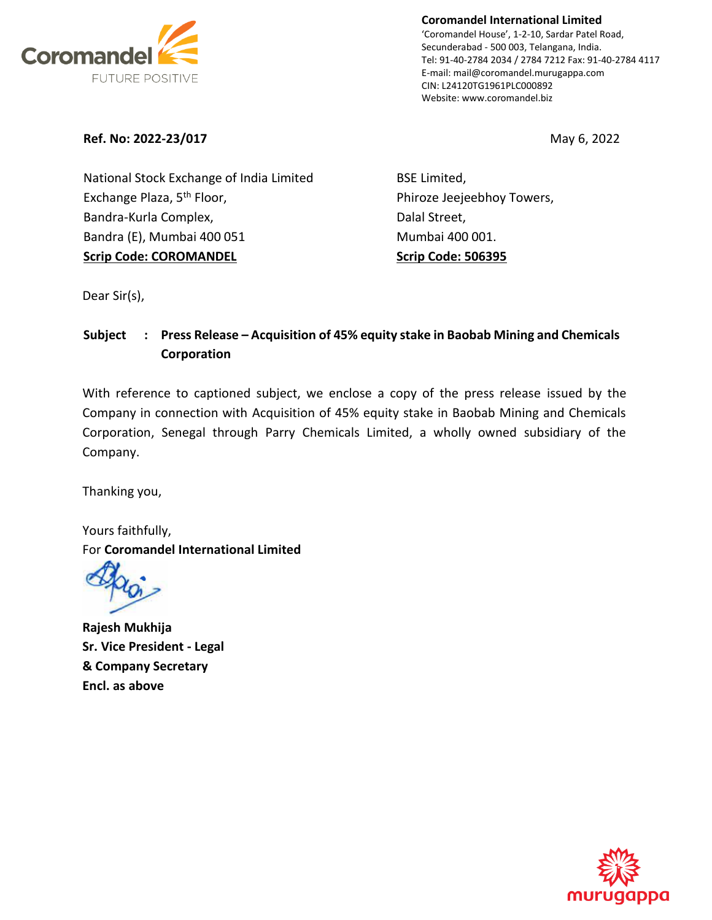

**Coromandel International Limited** 'Coromandel House', 1-2-10, Sardar Patel Road, Secunderabad - 500 003, Telangana, India. Tel: 91-40-2784 2034 / 2784 7212 Fax: 91-40-2784 4117 E-mail: mail@coromandel.murugappa.com CIN: L24120TG1961PLC000892 Website: www.coromandel.biz

**Ref. No: 2022-23/017** May 6, 2022

National Stock Exchange of India Limited Exchange Plaza, 5<sup>th</sup> Floor, Bandra-Kurla Complex, Bandra (E), Mumbai 400 051 **Scrip Code: COROMANDEL**

BSE Limited, Phiroze Jeejeebhoy Towers, Dalal Street, Mumbai 400 001. **Scrip Code: 506395**

Dear Sir(s),

## **Subject : Press Release – Acquisition of 45% equity stake in Baobab Mining and Chemicals Corporation**

With reference to captioned subject, we enclose a copy of the press release issued by the Company in connection with Acquisition of 45% equity stake in Baobab Mining and Chemicals Corporation, Senegal through Parry Chemicals Limited, a wholly owned subsidiary of the Company.

Thanking you,

Yours faithfully, For **Coromandel International Limited**

**Rajesh Mukhija Sr. Vice President - Legal & Company Secretary Encl. as above**

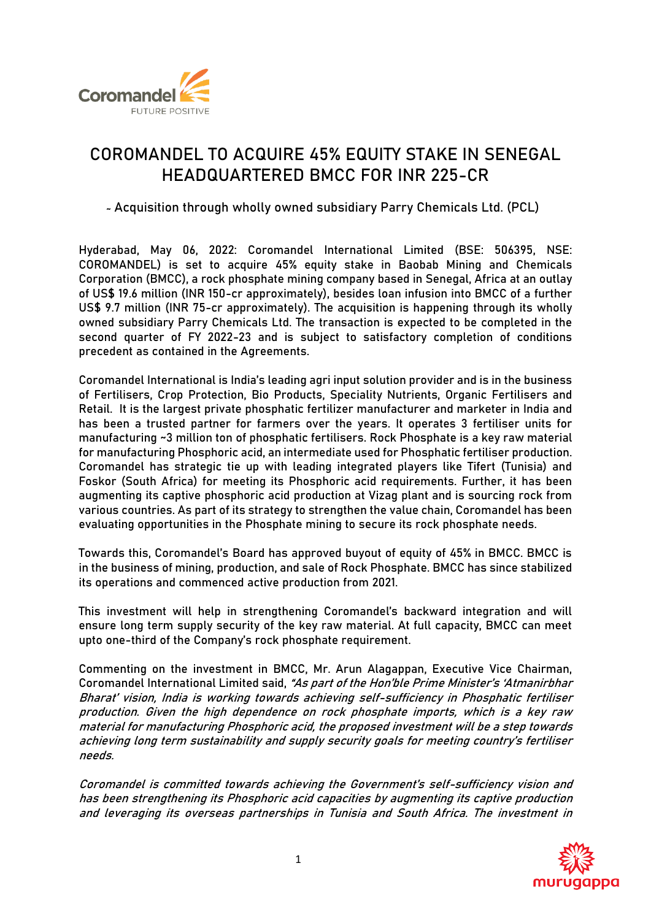

# **COROMANDEL TO ACQUIRE 45% EQUITY STAKE IN SENEGAL HEADQUARTERED BMCC FOR INR 225-CR**

**̴Acquisition through wholly owned subsidiary Parry Chemicals Ltd. (PCL)**

**Hyderabad, May 06, 2022: Coromandel International Limited** (BSE: 506395, NSE: COROMANDEL) is set to acquire 45% equity stake in **Baobab Mining and Chemicals Corporation (BMCC)**, a rock phosphate mining company based in Senegal, Africa at an outlay of US\$ 19.6 million (INR 150-cr approximately), besides loan infusion into BMCC of a further US\$ 9.7 million (INR 75-cr approximately). The acquisition is happening through its wholly owned subsidiary Parry Chemicals Ltd. The transaction is expected to be completed in the second quarter of FY 2022-23 and is subject to satisfactory completion of conditions precedent as contained in the Agreements.

Coromandel International is India's leading agri input solution provider and is in the business of Fertilisers, Crop Protection, Bio Products, Speciality Nutrients, Organic Fertilisers and Retail. It is the largest private phosphatic fertilizer manufacturer and marketer in India and has been a trusted partner for farmers over the years. It operates 3 fertiliser units for manufacturing ~3 million ton of phosphatic fertilisers. Rock Phosphate is a key raw material for manufacturing Phosphoric acid, an intermediate used for Phosphatic fertiliser production. Coromandel has strategic tie up with leading integrated players like Tifert (Tunisia) and Foskor (South Africa) for meeting its Phosphoric acid requirements. Further, it has been augmenting its captive phosphoric acid production at Vizag plant and is sourcing rock from various countries. As part of its strategy to strengthen the value chain, Coromandel has been evaluating opportunities in the Phosphate mining to secure its rock phosphate needs.

Towards this, Coromandel's Board has approved buyout of equity of 45% in BMCC. BMCC is in the business of mining, production, and sale of Rock Phosphate. BMCC has since stabilized its operations and commenced active production from 2021.

This investment will help in strengthening Coromandel's backward integration and will ensure long term supply security of the key raw material. At full capacity, BMCC can meet upto one-third of the Company's rock phosphate requirement.

Commenting on the investment in BMCC, **Mr. Arun Alagappan, Executive Vice Chairman, Coromandel International Limited** said, "As part of the Hon'ble Prime Minister's 'Atmanirbhar Bharat' vision, India is working towards achieving self-sufficiency in Phosphatic fertiliser production. Given the high dependence on rock phosphate imports, which is a key raw material for manufacturing Phosphoric acid, the proposed investment will be a step towards achieving long term sustainability and supply security goals for meeting country's fertiliser needs.

Coromandel is committed towards achieving the Government's self-sufficiency vision and has been strengthening its Phosphoric acid capacities by augmenting its captive production and leveraging its overseas partnerships in Tunisia and South Africa. The investment in

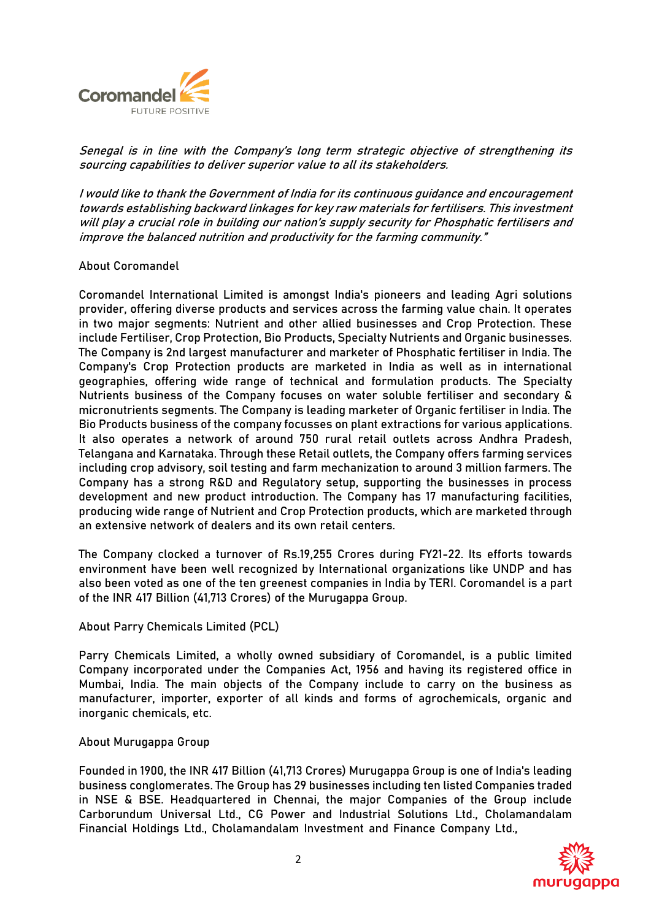

Senegal is in line with the Company's long term strategic objective of strengthening its sourcing capabilities to deliver superior value to all its stakeholders.

I would like to thank the Government of India for its continuous guidance and encouragement towards establishing backward linkages for key raw materials for fertilisers. This investment will play a crucial role in building our nation's supply security for Phosphatic fertilisers and improve the balanced nutrition and productivity for the farming community."

#### **About Coromandel**

Coromandel International Limited is amongst India's pioneers and leading Agri solutions provider, offering diverse products and services across the farming value chain. It operates in two major segments: Nutrient and other allied businesses and Crop Protection. These include Fertiliser, Crop Protection, Bio Products, Specialty Nutrients and Organic businesses. The Company is 2nd largest manufacturer and marketer of Phosphatic fertiliser in India. The Company's Crop Protection products are marketed in India as well as in international geographies, offering wide range of technical and formulation products. The Specialty Nutrients business of the Company focuses on water soluble fertiliser and secondary & micronutrients segments. The Company is leading marketer of Organic fertiliser in India. The Bio Products business of the company focusses on plant extractions for various applications. It also operates a network of around 750 rural retail outlets across Andhra Pradesh, Telangana and Karnataka. Through these Retail outlets, the Company offers farming services including crop advisory, soil testing and farm mechanization to around 3 million farmers. The Company has a strong R&D and Regulatory setup, supporting the businesses in process development and new product introduction. The Company has 17 manufacturing facilities, producing wide range of Nutrient and Crop Protection products, which are marketed through an extensive network of dealers and its own retail centers.

The Company clocked a turnover of Rs.19,255 Crores during FY21-22. Its efforts towards environment have been well recognized by International organizations like UNDP and has also been voted as one of the ten greenest companies in India by TERI. Coromandel is a part of the INR 417 Billion (41,713 Crores) of the Murugappa Group.

### **About Parry Chemicals Limited (PCL)**

Parry Chemicals Limited, a wholly owned subsidiary of Coromandel, is a public limited Company incorporated under the Companies Act, 1956 and having its registered office in Mumbai, India. The main objects of the Company include to carry on the business as manufacturer, importer, exporter of all kinds and forms of agrochemicals, organic and inorganic chemicals, etc.

#### **About Murugappa Group**

Founded in 1900, the INR 417 Billion (41,713 Crores) Murugappa Group is one of India's leading business conglomerates. The Group has 29 businesses including ten listed Companies traded in NSE & BSE. Headquartered in Chennai, the major Companies of the Group include Carborundum Universal Ltd., CG Power and Industrial Solutions Ltd., Cholamandalam Financial Holdings Ltd., Cholamandalam Investment and Finance Company Ltd.,